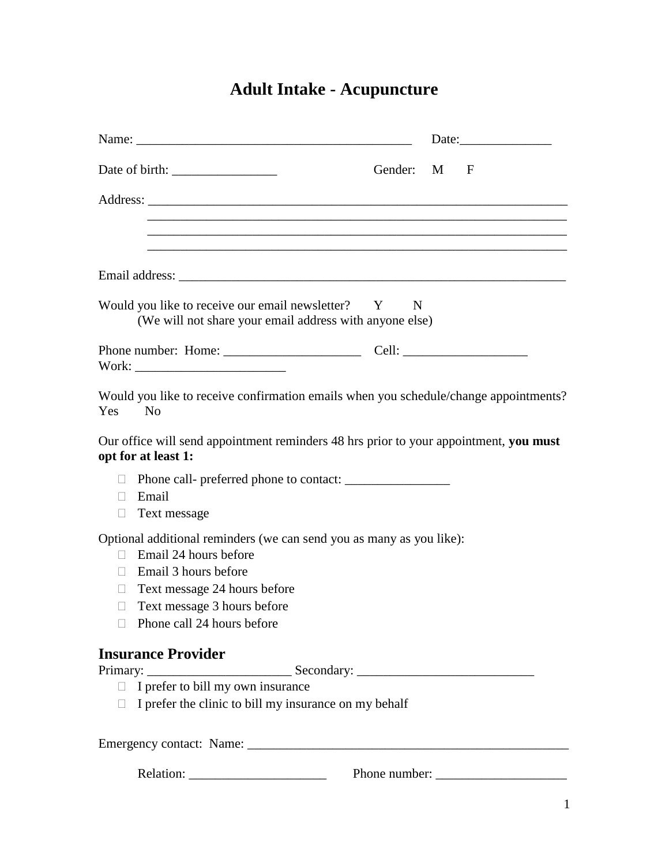# **Adult Intake - Acupuncture**

|                                                                                                                                                                                                                                                   |             | Date: |
|---------------------------------------------------------------------------------------------------------------------------------------------------------------------------------------------------------------------------------------------------|-------------|-------|
|                                                                                                                                                                                                                                                   | Gender: M F |       |
|                                                                                                                                                                                                                                                   |             |       |
|                                                                                                                                                                                                                                                   |             |       |
|                                                                                                                                                                                                                                                   |             |       |
| Would you like to receive our email newsletter? Y N<br>(We will not share your email address with anyone else)                                                                                                                                    |             |       |
|                                                                                                                                                                                                                                                   |             |       |
| Would you like to receive confirmation emails when you schedule/change appointments?<br>Yes<br>$\overline{N_{0}}$                                                                                                                                 |             |       |
| Our office will send appointment reminders 48 hrs prior to your appointment, you must<br>opt for at least 1:                                                                                                                                      |             |       |
| Phone call- preferred phone to contact:<br>$\mathbf{L}$<br>Email<br>П.<br>$\Box$ Text message                                                                                                                                                     |             |       |
| Optional additional reminders (we can send you as many as you like):<br>Email 24 hours before<br>$\Box$<br>Email 3 hours before<br>П.<br>Text message 24 hours before<br>$\Box$<br>Text message 3 hours before<br>u<br>Phone call 24 hours before |             |       |
| <b>Insurance Provider</b>                                                                                                                                                                                                                         |             |       |
| Primary: <u>Secondary:</u> <u>Secondary:</u> <u>Secondary:</u> <u>△</u>                                                                                                                                                                           |             |       |
| $\Box$ I prefer the clinic to bill my insurance on my behalf                                                                                                                                                                                      |             |       |
|                                                                                                                                                                                                                                                   |             |       |
|                                                                                                                                                                                                                                                   |             |       |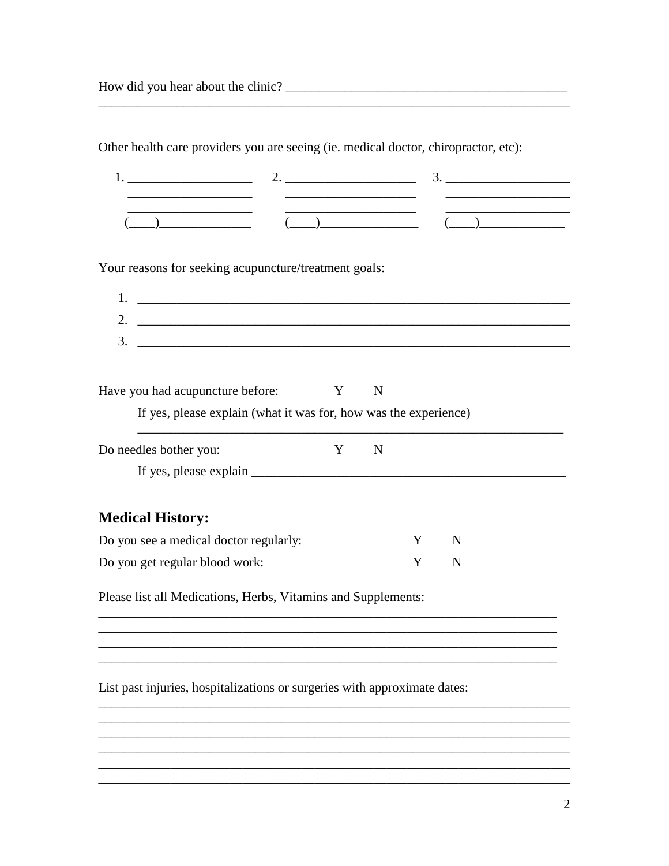| $\begin{picture}(20,10) \put(0,0){\vector(1,0){100}} \put(15,0){\vector(1,0){100}} \put(15,0){\vector(1,0){100}} \put(15,0){\vector(1,0){100}} \put(15,0){\vector(1,0){100}} \put(15,0){\vector(1,0){100}} \put(15,0){\vector(1,0){100}} \put(15,0){\vector(1,0){100}} \put(15,0){\vector(1,0){100}} \put(15,0){\vector(1,0){100}} \put(15,0){\vector(1,0){100}} \$ |                                                                  |   | <u> 2000 - Jan James James Jan James James Jan James James Jan James James Jan Jan James James Jan Jan James Jan Ja</u> |   | $\begin{array}{c} \begin{array}{c} \begin{array}{c} \end{array}\\ \begin{array}{c} \end{array}\\ \begin{array}{c} \end{array}\\ \begin{array}{c} \end{array}\\ \begin{array}{c} \end{array}\\ \begin{array}{c} \end{array}\\ \begin{array}{c} \end{array}\\ \begin{array}{c} \end{array}\\ \begin{array}{c} \end{array}\\ \begin{array}{c} \end{array}\\ \begin{array}{c} \end{array}\\ \begin{array}{c} \end{array}\\ \begin{array}{c} \end{array}\\ \begin{array}{c} \end{array}\\ \begin{array}{c} \end{array}\\ \begin{array}{c} \end{array}\\ \begin{array}{c} \end{array}\\ \begin$ |
|---------------------------------------------------------------------------------------------------------------------------------------------------------------------------------------------------------------------------------------------------------------------------------------------------------------------------------------------------------------------|------------------------------------------------------------------|---|-------------------------------------------------------------------------------------------------------------------------|---|-------------------------------------------------------------------------------------------------------------------------------------------------------------------------------------------------------------------------------------------------------------------------------------------------------------------------------------------------------------------------------------------------------------------------------------------------------------------------------------------------------------------------------------------------------------------------------------------|
| Your reasons for seeking acupuncture/treatment goals:                                                                                                                                                                                                                                                                                                               |                                                                  |   |                                                                                                                         |   |                                                                                                                                                                                                                                                                                                                                                                                                                                                                                                                                                                                           |
| 1. $\qquad \qquad$                                                                                                                                                                                                                                                                                                                                                  |                                                                  |   |                                                                                                                         |   |                                                                                                                                                                                                                                                                                                                                                                                                                                                                                                                                                                                           |
|                                                                                                                                                                                                                                                                                                                                                                     |                                                                  |   |                                                                                                                         |   |                                                                                                                                                                                                                                                                                                                                                                                                                                                                                                                                                                                           |
|                                                                                                                                                                                                                                                                                                                                                                     |                                                                  |   |                                                                                                                         |   |                                                                                                                                                                                                                                                                                                                                                                                                                                                                                                                                                                                           |
| Have you had acupuncture before:                                                                                                                                                                                                                                                                                                                                    |                                                                  | Y | $\mathbf N$                                                                                                             |   |                                                                                                                                                                                                                                                                                                                                                                                                                                                                                                                                                                                           |
|                                                                                                                                                                                                                                                                                                                                                                     | If yes, please explain (what it was for, how was the experience) |   |                                                                                                                         |   |                                                                                                                                                                                                                                                                                                                                                                                                                                                                                                                                                                                           |
| Do needles bother you:                                                                                                                                                                                                                                                                                                                                              |                                                                  | Y | $\mathbf N$                                                                                                             |   |                                                                                                                                                                                                                                                                                                                                                                                                                                                                                                                                                                                           |
|                                                                                                                                                                                                                                                                                                                                                                     |                                                                  |   |                                                                                                                         |   |                                                                                                                                                                                                                                                                                                                                                                                                                                                                                                                                                                                           |
| <b>Medical History:</b>                                                                                                                                                                                                                                                                                                                                             |                                                                  |   |                                                                                                                         |   |                                                                                                                                                                                                                                                                                                                                                                                                                                                                                                                                                                                           |
| Do you see a medical doctor regularly:                                                                                                                                                                                                                                                                                                                              |                                                                  |   |                                                                                                                         | Y | N                                                                                                                                                                                                                                                                                                                                                                                                                                                                                                                                                                                         |
| Do you get regular blood work:                                                                                                                                                                                                                                                                                                                                      |                                                                  |   |                                                                                                                         | Y | N                                                                                                                                                                                                                                                                                                                                                                                                                                                                                                                                                                                         |
| Please list all Medications, Herbs, Vitamins and Supplements:                                                                                                                                                                                                                                                                                                       |                                                                  |   |                                                                                                                         |   |                                                                                                                                                                                                                                                                                                                                                                                                                                                                                                                                                                                           |
|                                                                                                                                                                                                                                                                                                                                                                     |                                                                  |   |                                                                                                                         |   |                                                                                                                                                                                                                                                                                                                                                                                                                                                                                                                                                                                           |
|                                                                                                                                                                                                                                                                                                                                                                     |                                                                  |   |                                                                                                                         |   |                                                                                                                                                                                                                                                                                                                                                                                                                                                                                                                                                                                           |

List past injuries, hospitalizations or surgeries with approximate dates:

<u> 1989 - Johann Stoff, amerikansk politiker († 1908)</u>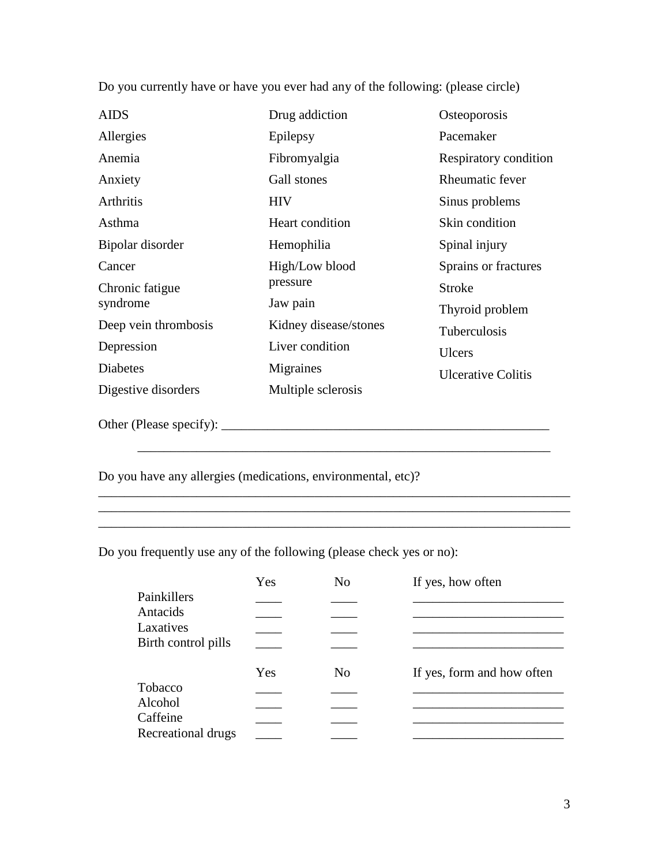| <b>AIDS</b>          | Drug addiction        | Osteoporosis              |
|----------------------|-----------------------|---------------------------|
| Allergies            | Epilepsy              | Pacemaker                 |
| Anemia               | Fibromyalgia          | Respiratory condition     |
| Anxiety              | Gall stones           | <b>Rheumatic fever</b>    |
| <b>Arthritis</b>     | <b>HIV</b>            | Sinus problems            |
| Asthma               | Heart condition       | Skin condition            |
| Bipolar disorder     | Hemophilia            | Spinal injury             |
| Cancer               | High/Low blood        | Sprains or fractures      |
| Chronic fatigue      | pressure              | Stroke                    |
| syndrome             | Jaw pain              | Thyroid problem           |
| Deep vein thrombosis | Kidney disease/stones | Tuberculosis              |
| Depression           | Liver condition       | <b>Ulcers</b>             |
| Diabetes             | Migraines             | <b>Ulcerative Colitis</b> |
| Digestive disorders  | Multiple sclerosis    |                           |
|                      |                       |                           |

Do you currently have or have you ever had any of the following: (please circle)

Other (Please specify): \_\_\_\_\_\_\_\_\_\_\_\_\_\_\_\_\_\_\_\_\_\_\_\_\_\_\_\_\_\_\_\_\_\_\_\_\_\_\_\_\_\_\_\_\_\_\_\_\_\_

Do you have any allergies (medications, environmental, etc)?

Do you frequently use any of the following (please check yes or no):

|                     | Yes | No | If yes, how often          |
|---------------------|-----|----|----------------------------|
| Painkillers         |     |    |                            |
| Antacids            |     |    |                            |
| Laxatives           |     |    |                            |
| Birth control pills |     |    |                            |
|                     | Yes | No | If yes, form and how often |
| Tobacco             |     |    |                            |
| Alcohol             |     |    |                            |
| Caffeine            |     |    |                            |
| Recreational drugs  |     |    |                            |

\_\_\_\_\_\_\_\_\_\_\_\_\_\_\_\_\_\_\_\_\_\_\_\_\_\_\_\_\_\_\_\_\_\_\_\_\_\_\_\_\_\_\_\_\_\_\_\_\_\_\_\_\_\_\_\_\_\_\_\_\_\_\_

 $\overline{\phantom{a}}$  , and the contract of the contract of the contract of the contract of the contract of the contract of the contract of the contract of the contract of the contract of the contract of the contract of the contrac \_\_\_\_\_\_\_\_\_\_\_\_\_\_\_\_\_\_\_\_\_\_\_\_\_\_\_\_\_\_\_\_\_\_\_\_\_\_\_\_\_\_\_\_\_\_\_\_\_\_\_\_\_\_\_\_\_\_\_\_\_\_\_\_\_\_\_\_\_\_\_\_

\_\_\_\_\_\_\_\_\_\_\_\_\_\_\_\_\_\_\_\_\_\_\_\_\_\_\_\_\_\_\_\_\_\_\_\_\_\_\_\_\_\_\_\_\_\_\_\_\_\_\_\_\_\_\_\_\_\_\_\_\_\_\_\_\_\_\_\_\_\_\_\_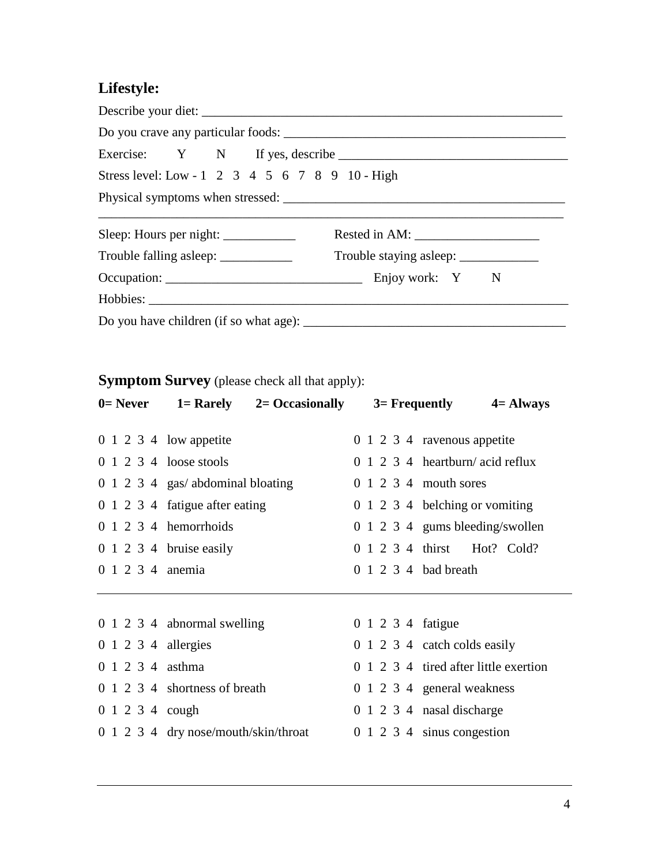# **Lifestyle:**

| Stress level: Low - 1 2 3 4 5 6 7 8 9 10 - High |                             |
|-------------------------------------------------|-----------------------------|
|                                                 |                             |
|                                                 | Rested in AM: $\frac{1}{2}$ |
|                                                 |                             |
|                                                 |                             |
|                                                 |                             |
|                                                 |                             |

#### **Symptom Survey** (please check all that apply):

| $0=$ Never                    | $1 =$ Rarely $2 =$ Occasionally                   |                      | $3=$ Frequently $4=$ Always               |
|-------------------------------|---------------------------------------------------|----------------------|-------------------------------------------|
|                               | $0 \t1 \t2 \t3 \t4 \t low\t\text{appetite}$       |                      | 0 1 2 3 4 ravenous appetite               |
|                               | $0 \t1 \t2 \t3 \t4 \t^$ loose stools              |                      | $0 \t1 \t2 \t3 \t4$ heartburn/acid reflux |
|                               | 0 1 2 3 4 gas/ abdominal bloating                 |                      | 0 1 2 3 4 mouth sores                     |
|                               | 0 1 2 3 4 fatigue after eating                    |                      | 0 1 2 3 4 belching or vomiting            |
|                               | $0 \t1 \t2 \t3 \t4 \t hemorphoids$                |                      | 0 1 2 3 4 gums bleeding/swollen           |
|                               | $0 \t1 \t2 \t3 \t4 \tbruise easily$               |                      | 0 1 2 3 4 thirst Hot? Cold?               |
| 0 1 2 3 4 anemia              |                                                   | 0 1 2 3 4 bad breath |                                           |
|                               |                                                   |                      |                                           |
|                               | 0 1 2 3 4 abnormal swelling                       | 0 1 2 3 4 fatigue    |                                           |
| $0 \t1 \t2 \t3 \t4$ allergies |                                                   |                      | 0 1 2 3 4 catch colds easily              |
| 0 1 2 3 4 asthma              |                                                   |                      | 0 1 2 3 4 tired after little exertion     |
|                               | 0 1 2 3 4 shortness of breath                     |                      | 0 1 2 3 4 general weakness                |
| 0 1 2 3 4 cough               |                                                   |                      | 0 1 2 3 4 nasal discharge                 |
|                               | $0 \t1 \t2 \t3 \t4 \t dry nose/mouth/skin/throat$ |                      | $0 \t1 \t2 \t3 \t4 \t sinus congestion$   |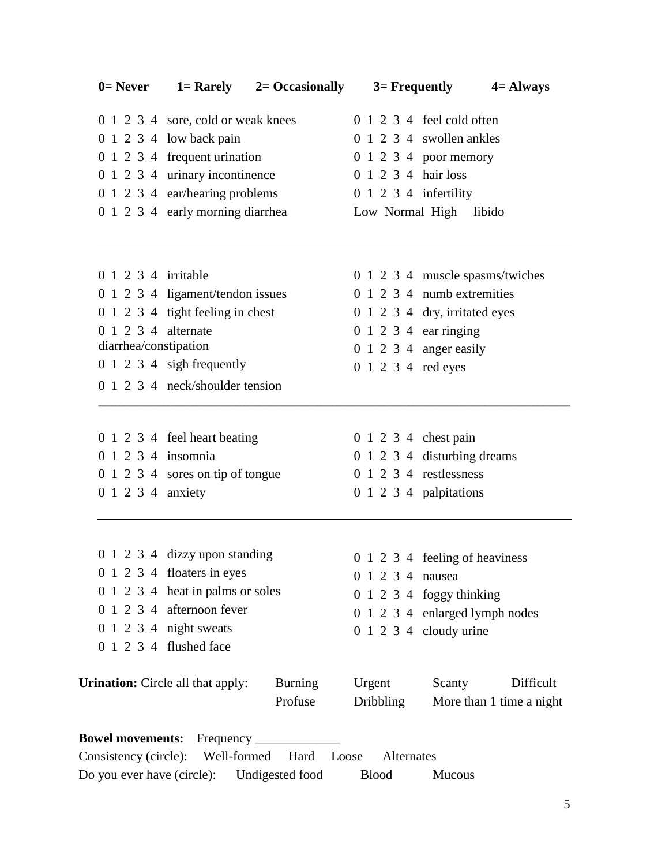| $0=$ Never                 |                                                                | $1 =$ Rarely $2 =$ Occasionally | $3=$ Frequently         |                                     | $4 =$ Always             |
|----------------------------|----------------------------------------------------------------|---------------------------------|-------------------------|-------------------------------------|--------------------------|
|                            | 0 1 2 3 4 sore, cold or weak knees                             |                                 |                         | $0 \t1 \t2 \t3 \t4$ feel cold often |                          |
|                            | $0 \t1 \t2 \t3 \t4 \t low back pain$                           |                                 |                         | 0 1 2 3 4 swollen ankles            |                          |
|                            | 0 1 2 3 4 frequent urination                                   |                                 |                         | $0 \t1 \t2 \t3 \t4 \t poor memory$  |                          |
|                            | 0 1 2 3 4 urinary incontinence                                 |                                 | 0 1 2 3 4 hair loss     |                                     |                          |
|                            | 0 1 2 3 4 ear/hearing problems                                 |                                 | $0$ 1 2 3 4 infertility |                                     |                          |
|                            | 0 1 2 3 4 early morning diarrhea                               |                                 |                         | Low Normal High libido              |                          |
| 0 1 2 3 4 irritable        |                                                                |                                 |                         | 0 1 2 3 4 muscle spasms/twiches     |                          |
|                            | 0 1 2 3 4 ligament/tendon issues                               |                                 |                         | 0 1 2 3 4 numb extremities          |                          |
|                            | 0 1 2 3 4 tight feeling in chest                               |                                 |                         | 0 1 2 3 4 dry, irritated eyes       |                          |
| 0 1 2 3 4 alternate        |                                                                |                                 | 0 1 2 3 4 ear ringing   |                                     |                          |
| diarrhea/constipation      |                                                                |                                 |                         | $0 \t1 \t2 \t3 \t4$ anger easily    |                          |
|                            | 0 1 2 3 4 sigh frequently                                      |                                 | 0 1 2 3 4 red eyes      |                                     |                          |
|                            | 0 1 2 3 4 neck/shoulder tension                                |                                 |                         |                                     |                          |
|                            |                                                                |                                 |                         |                                     |                          |
|                            | 0 1 2 3 4 feel heart beating                                   |                                 | 0 1 2 3 4 chest pain    |                                     |                          |
| 0 1 2 3 4 insomnia         |                                                                |                                 |                         | 0 1 2 3 4 disturbing dreams         |                          |
|                            | 0 1 2 3 4 sores on tip of tongue                               |                                 |                         | $0$ 1 2 3 4 restlessness            |                          |
| 0 1 2 3 4 anxiety          |                                                                |                                 |                         | $0 \t1 \t2 \t3 \t4$ palpitations    |                          |
|                            |                                                                |                                 |                         |                                     |                          |
|                            | 0 1 2 3 4 dizzy upon standing                                  |                                 |                         | 0 1 2 3 4 feeling of heaviness      |                          |
|                            | 0 1 2 3 4 floaters in eyes<br>0 1 2 3 4 heat in palms or soles |                                 | 0 1 2 3 4 nausea        |                                     |                          |
|                            | 0 1 2 3 4 afternoon fever                                      |                                 |                         | $0 \t1 \t2 \t3 \t4$ foggy thinking  |                          |
|                            | 0 1 2 3 4 night sweats                                         |                                 |                         | 0 1 2 3 4 enlarged lymph nodes      |                          |
|                            | 0 1 2 3 4 flushed face                                         |                                 |                         | $0 \t1 \t2 \t3 \t4$ cloudy urine    |                          |
|                            |                                                                |                                 |                         |                                     |                          |
|                            | <b>Urination:</b> Circle all that apply:                       | <b>Burning</b>                  | Urgent                  | Scanty                              | Difficult                |
|                            |                                                                | Profuse                         | <b>Dribbling</b>        |                                     | More than 1 time a night |
|                            |                                                                |                                 |                         |                                     |                          |
|                            | Consistency (circle): Well-formed                              | Hard<br>Loose                   | Alternates              |                                     |                          |
| Do you ever have (circle): |                                                                | Undigested food                 | <b>Blood</b>            | <b>Mucous</b>                       |                          |